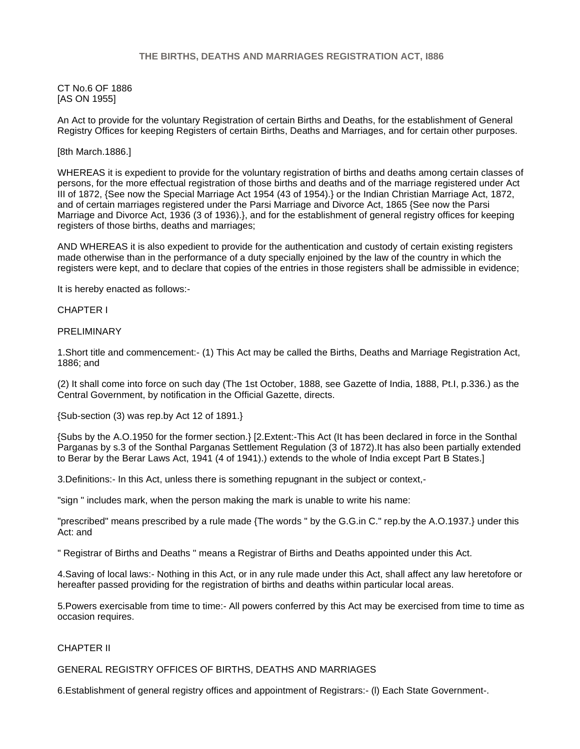CT No.6 OF 1886 [AS ON 1955]

An Act to provide for the voluntary Registration of certain Births and Deaths, for the establishment of General Registry Offices for keeping Registers of certain Births, Deaths and Marriages, and for certain other purposes.

### [8th March.1886.]

WHEREAS it is expedient to provide for the voluntary registration of births and deaths among certain classes of persons, for the more effectual registration of those births and deaths and of the marriage registered under Act III of 1872, {See now the Special Marriage Act 1954 (43 of 1954).} or the Indian Christian Marriage Act, 1872, and of certain marriages registered under the Parsi Marriage and Divorce Act, 1865 {See now the Parsi Marriage and Divorce Act, 1936 (3 of 1936).}, and for the establishment of general registry offices for keeping registers of those births, deaths and marriages;

AND WHEREAS it is also expedient to provide for the authentication and custody of certain existing registers made otherwise than in the performance of a duty specially enjoined by the law of the country in which the registers were kept, and to declare that copies of the entries in those registers shall be admissible in evidence;

It is hereby enacted as follows:-

#### CHAPTER I

#### PRELIMINARY

1.Short title and commencement:- (1) This Act may be called the Births, Deaths and Marriage Registration Act, 1886; and

(2) It shall come into force on such day (The 1st October, 1888, see Gazette of India, 1888, Pt.I, p.336.) as the Central Government, by notification in the Official Gazette, directs.

{Sub-section (3) was rep.by Act 12 of 1891.}

{Subs by the A.O.1950 for the former section.} [2.Extent:-This Act (It has been declared in force in the Sonthal Parganas by s.3 of the Sonthal Parganas Settlement Regulation (3 of 1872).It has also been partially extended to Berar by the Berar Laws Act, 1941 (4 of 1941).) extends to the whole of India except Part B States.]

3.Definitions:- In this Act, unless there is something repugnant in the subject or context,-

"sign " includes mark, when the person making the mark is unable to write his name:

"prescribed" means prescribed by a rule made {The words " by the G.G.in C." rep.by the A.O.1937.} under this Act: and

" Registrar of Births and Deaths " means a Registrar of Births and Deaths appointed under this Act.

4.Saving of local laws:- Nothing in this Act, or in any rule made under this Act, shall affect any law heretofore or hereafter passed providing for the registration of births and deaths within particular local areas.

5.Powers exercisable from time to time:- All powers conferred by this Act may be exercised from time to time as occasion requires.

### CHAPTER II

### GENERAL REGISTRY OFFICES OF BIRTHS, DEATHS AND MARRIAGES

6.Establishment of general registry offices and appointment of Registrars:- (l) Each State Government-.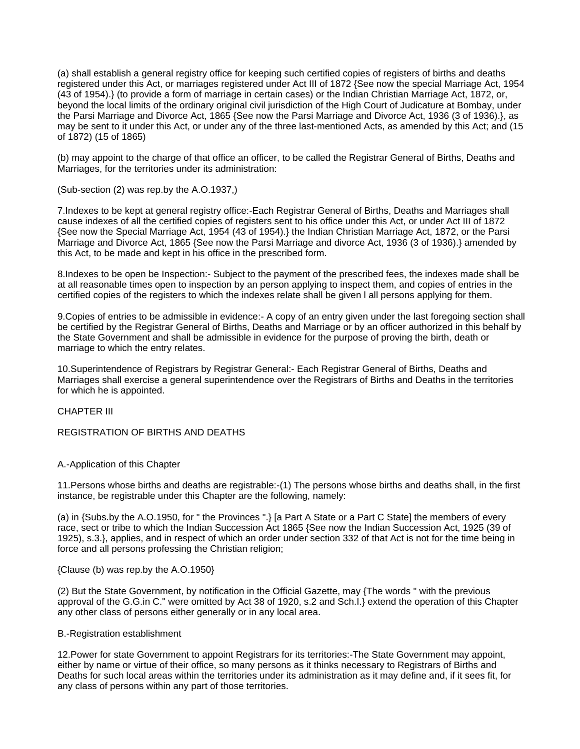(a) shall establish a general registry office for keeping such certified copies of registers of births and deaths registered under this Act, or marriages registered under Act III of 1872 {See now the special Marriage Act, 1954 (43 of 1954).} (to provide a form of marriage in certain cases) or the Indian Christian Marriage Act, 1872, or, beyond the local limits of the ordinary original civil jurisdiction of the High Court of Judicature at Bombay, under the Parsi Marriage and Divorce Act, 1865 {See now the Parsi Marriage and Divorce Act, 1936 (3 of 1936).}, as may be sent to it under this Act, or under any of the three last-mentioned Acts, as amended by this Act; and (15 of 1872) (15 of 1865)

(b) may appoint to the charge of that office an officer, to be called the Registrar General of Births, Deaths and Marriages, for the territories under its administration:

(Sub-section (2) was rep.by the A.O.1937,)

7.Indexes to be kept at general registry office:-Each Registrar General of Births, Deaths and Marriages shall cause indexes of all the certified copies of registers sent to his office under this Act, or under Act III of 1872 {See now the Special Marriage Act, 1954 (43 of 1954).} the Indian Christian Marriage Act, 1872, or the Parsi Marriage and Divorce Act, 1865 {See now the Parsi Marriage and divorce Act, 1936 (3 of 1936).} amended by this Act, to be made and kept in his office in the prescribed form.

8.Indexes to be open be Inspection:- Subject to the payment of the prescribed fees, the indexes made shall be at all reasonable times open to inspection by an person applying to inspect them, and copies of entries in the certified copies of the registers to which the indexes relate shall be given l all persons applying for them.

9.Copies of entries to be admissible in evidence:- A copy of an entry given under the last foregoing section shall be certified by the Registrar General of Births, Deaths and Marriage or by an officer authorized in this behalf by the State Government and shall be admissible in evidence for the purpose of proving the birth, death or marriage to which the entry relates.

10.Superintendence of Registrars by Registrar General:- Each Registrar General of Births, Deaths and Marriages shall exercise a general superintendence over the Registrars of Births and Deaths in the territories for which he is appointed.

CHAPTER III

REGISTRATION OF BIRTHS AND DEATHS

#### A.-Application of this Chapter

11.Persons whose births and deaths are registrable:-(1) The persons whose births and deaths shall, in the first instance, be registrable under this Chapter are the following, namely:

(a) in {Subs.by the A.O.1950, for " the Provinces ".} [a Part A State or a Part C State] the members of every race, sect or tribe to which the Indian Succession Act 1865 {See now the Indian Succession Act, 1925 (39 of 1925), s.3.}, applies, and in respect of which an order under section 332 of that Act is not for the time being in force and all persons professing the Christian religion;

{Clause (b) was rep.by the A.O.1950}

(2) But the State Government, by notification in the Official Gazette, may {The words " with the previous approval of the G.G.in C." were omitted by Act 38 of 1920, s.2 and Sch.I.} extend the operation of this Chapter any other class of persons either generally or in any local area.

#### B.-Registration establishment

12.Power for state Government to appoint Registrars for its territories:-The State Government may appoint, either by name or virtue of their office, so many persons as it thinks necessary to Registrars of Births and Deaths for such local areas within the territories under its administration as it may define and, if it sees fit, for any class of persons within any part of those territories.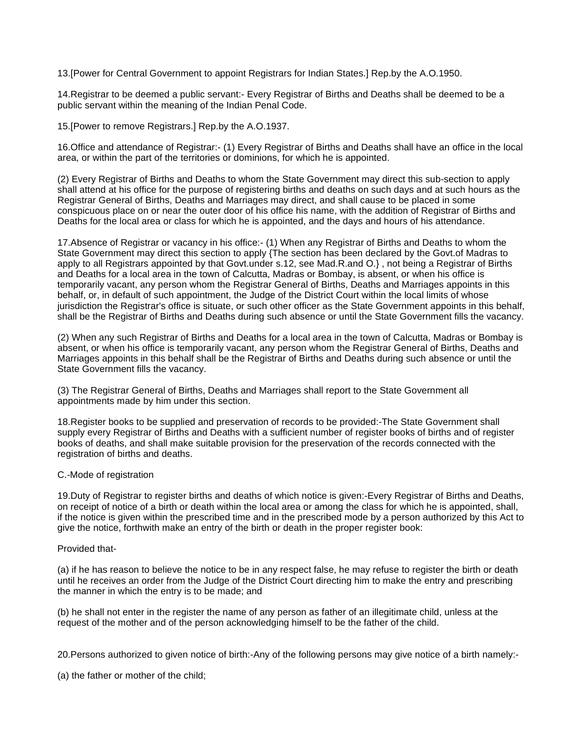13.[Power for Central Government to appoint Registrars for Indian States.] Rep.by the A.O.1950.

14.Registrar to be deemed a public servant:- Every Registrar of Births and Deaths shall be deemed to be a public servant within the meaning of the Indian Penal Code.

15.[Power to remove Registrars.] Rep.by the A.O.1937.

16.Office and attendance of Registrar:- (1) Every Registrar of Births and Deaths shall have an office in the local area, or within the part of the territories or dominions, for which he is appointed.

(2) Every Registrar of Births and Deaths to whom the State Government may direct this sub-section to apply shall attend at his office for the purpose of registering births and deaths on such days and at such hours as the Registrar General of Births, Deaths and Marriages may direct, and shall cause to be placed in some conspicuous place on or near the outer door of his office his name, with the addition of Registrar of Births and Deaths for the local area or class for which he is appointed, and the days and hours of his attendance.

17.Absence of Registrar or vacancy in his office:- (1) When any Registrar of Births and Deaths to whom the State Government may direct this section to apply {The section has been declared by the Govt.of Madras to apply to all Registrars appointed by that Govt.under s.12, see Mad.R.and O.} , not being a Registrar of Births and Deaths for a local area in the town of Calcutta, Madras or Bombay, is absent, or when his office is temporarily vacant, any person whom the Registrar General of Births, Deaths and Marriages appoints in this behalf, or, in default of such appointment, the Judge of the District Court within the local limits of whose jurisdiction the Registrar's office is situate, or such other officer as the State Government appoints in this behalf, shall be the Registrar of Births and Deaths during such absence or until the State Government fills the vacancy.

(2) When any such Registrar of Births and Deaths for a local area in the town of Calcutta, Madras or Bombay is absent, or when his office is temporarily vacant, any person whom the Registrar General of Births, Deaths and Marriages appoints in this behalf shall be the Registrar of Births and Deaths during such absence or until the State Government fills the vacancy.

(3) The Registrar General of Births, Deaths and Marriages shall report to the State Government all appointments made by him under this section.

18.Register books to be supplied and preservation of records to be provided:-The State Government shall supply every Registrar of Births and Deaths with a sufficient number of register books of births and of register books of deaths, and shall make suitable provision for the preservation of the records connected with the registration of births and deaths.

### C.-Mode of registration

19.Duty of Registrar to register births and deaths of which notice is given:-Every Registrar of Births and Deaths, on receipt of notice of a birth or death within the local area or among the class for which he is appointed, shall, if the notice is given within the prescribed time and in the prescribed mode by a person authorized by this Act to give the notice, forthwith make an entry of the birth or death in the proper register book:

### Provided that-

(a) if he has reason to believe the notice to be in any respect false, he may refuse to register the birth or death until he receives an order from the Judge of the District Court directing him to make the entry and prescribing the manner in which the entry is to be made; and

(b) he shall not enter in the register the name of any person as father of an illegitimate child, unless at the request of the mother and of the person acknowledging himself to be the father of the child.

20.Persons authorized to given notice of birth:-Any of the following persons may give notice of a birth namely:-

(a) the father or mother of the child;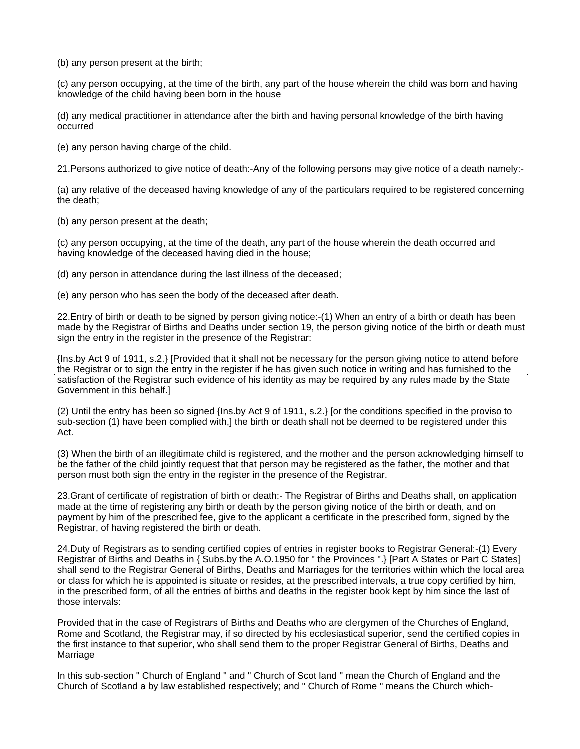(b) any person present at the birth;

(c) any person occupying, at the time of the birth, any part of the house wherein the child was born and having knowledge of the child having been born in the house

(d) any medical practitioner in attendance after the birth and having personal knowledge of the birth having occurred

(e) any person having charge of the child.

21.Persons authorized to give notice of death:-Any of the following persons may give notice of a death namely:-

(a) any relative of the deceased having knowledge of any of the particulars required to be registered concerning the death;

(b) any person present at the death;

(c) any person occupying, at the time of the death, any part of the house wherein the death occurred and having knowledge of the deceased having died in the house;

(d) any person in attendance during the last illness of the deceased;

(e) any person who has seen the body of the deceased after death.

22.Entry of birth or death to be signed by person giving notice:-(1) When an entry of a birth or death has been made by the Registrar of Births and Deaths under section 19, the person giving notice of the birth or death must sign the entry in the register in the presence of the Registrar:

{Ins.by Act 9 of 1911, s.2.} [Provided that it shall not be necessary for the person giving notice to attend before the Registrar or to sign the entry in the register if he has given such notice in writing and has furnished to the satisfaction of the Registrar such evidence of his identity as may be required by any rules made by the State Government in this behalf.]

(2) Until the entry has been so signed {Ins.by Act 9 of 1911, s.2.} [or the conditions specified in the proviso to sub-section (1) have been complied with,] the birth or death shall not be deemed to be registered under this Act.

(3) When the birth of an illegitimate child is registered, and the mother and the person acknowledging himself to be the father of the child jointly request that that person may be registered as the father, the mother and that person must both sign the entry in the register in the presence of the Registrar.

23.Grant of certificate of registration of birth or death:- The Registrar of Births and Deaths shall, on application made at the time of registering any birth or death by the person giving notice of the birth or death, and on payment by him of the prescribed fee, give to the applicant a certificate in the prescribed form, signed by the Registrar, of having registered the birth or death.

24.Duty of Registrars as to sending certified copies of entries in register books to Registrar General:-(1) Every Registrar of Births and Deaths in { Subs.by the A.O.1950 for " the Provinces ".} [Part A States or Part C States] shall send to the Registrar General of Births, Deaths and Marriages for the territories within which the local area or class for which he is appointed is situate or resides, at the prescribed intervals, a true copy certified by him, in the prescribed form, of all the entries of births and deaths in the register book kept by him since the last of those intervals:

Provided that in the case of Registrars of Births and Deaths who are clergymen of the Churches of England, Rome and Scotland, the Registrar may, if so directed by his ecclesiastical superior, send the certified copies in the first instance to that superior, who shall send them to the proper Registrar General of Births, Deaths and Marriage

In this sub-section " Church of England " and " Church of Scot land " mean the Church of England and the Church of Scotland a by law established respectively; and " Church of Rome " means the Church which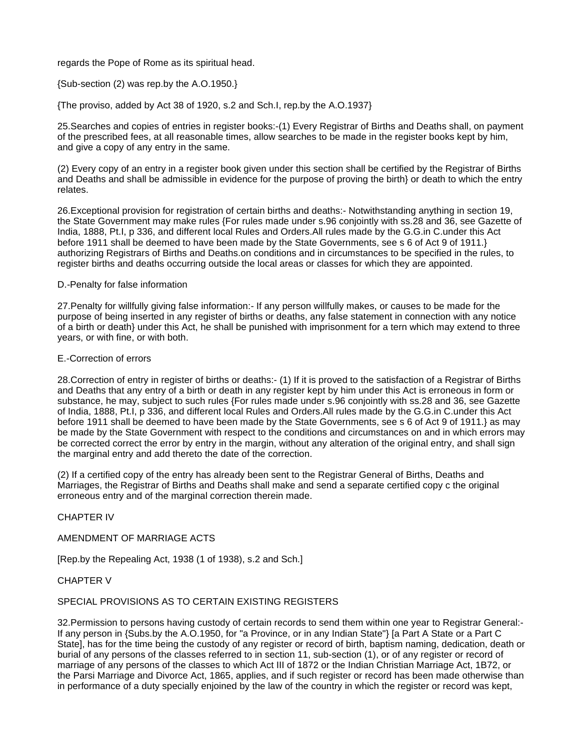regards the Pope of Rome as its spiritual head.

{Sub-section (2) was rep.by the A.O.1950.}

{The proviso, added by Act 38 of 1920, s.2 and Sch.I, rep.by the A.O.1937}

25.Searches and copies of entries in register books:-(1) Every Registrar of Births and Deaths shall, on payment of the prescribed fees, at all reasonable times, allow searches to be made in the register books kept by him, and give a copy of any entry in the same.

(2) Every copy of an entry in a register book given under this section shall be certified by the Registrar of Births and Deaths and shall be admissible in evidence for the purpose of proving the birth} or death to which the entry relates.

26.Exceptional provision for registration of certain births and deaths:- Notwithstanding anything in section 19, the State Government may make rules {For rules made under s.96 conjointly with ss.28 and 36, see Gazette of India, 1888, Pt.I, p 336, and different local Rules and Orders.All rules made by the G.G.in C.under this Act before 1911 shall be deemed to have been made by the State Governments, see s 6 of Act 9 of 1911.} authorizing Registrars of Births and Deaths.on conditions and in circumstances to be specified in the rules, to register births and deaths occurring outside the local areas or classes for which they are appointed.

### D.-Penalty for false information

27.Penalty for willfully giving false information:- If any person willfully makes, or causes to be made for the purpose of being inserted in any register of births or deaths, any false statement in connection with any notice of a birth or death} under this Act, he shall be punished with imprisonment for a tern which may extend to three years, or with fine, or with both.

### E.-Correction of errors

28.Correction of entry in register of births or deaths:- (1) If it is proved to the satisfaction of a Registrar of Births and Deaths that any entry of a birth or death in any register kept by him under this Act is erroneous in form or substance, he may, subject to such rules {For rules made under s.96 conjointly with ss.28 and 36, see Gazette of India, 1888, Pt.I, p 336, and different local Rules and Orders.All rules made by the G.G.in C.under this Act before 1911 shall be deemed to have been made by the State Governments, see s 6 of Act 9 of 1911.} as may be made by the State Government with respect to the conditions and circumstances on and in which errors may be corrected correct the error by entry in the margin, without any alteration of the original entry, and shall sign the marginal entry and add thereto the date of the correction.

(2) If a certified copy of the entry has already been sent to the Registrar General of Births, Deaths and Marriages, the Registrar of Births and Deaths shall make and send a separate certified copy c the original erroneous entry and of the marginal correction therein made.

# CHAPTER IV

# AMENDMENT OF MARRIAGE ACTS

[Rep.by the Repealing Act, 1938 (1 of 1938), s.2 and Sch.]

# CHAPTER V

# SPECIAL PROVISIONS AS TO CERTAIN EXISTING REGISTERS

32.Permission to persons having custody of certain records to send them within one year to Registrar General:- If any person in {Subs.by the A.O.1950, for "a Province, or in any Indian State"} [a Part A State or a Part C State], has for the time being the custody of any register or record of birth, baptism naming, dedication, death or burial of any persons of the classes referred to in section 11, sub-section (1), or of any register or record of marriage of any persons of the classes to which Act III of 1872 or the Indian Christian Marriage Act, 1B72, or the Parsi Marriage and Divorce Act, 1865, applies, and if such register or record has been made otherwise than in performance of a duty specially enjoined by the law of the country in which the register or record was kept,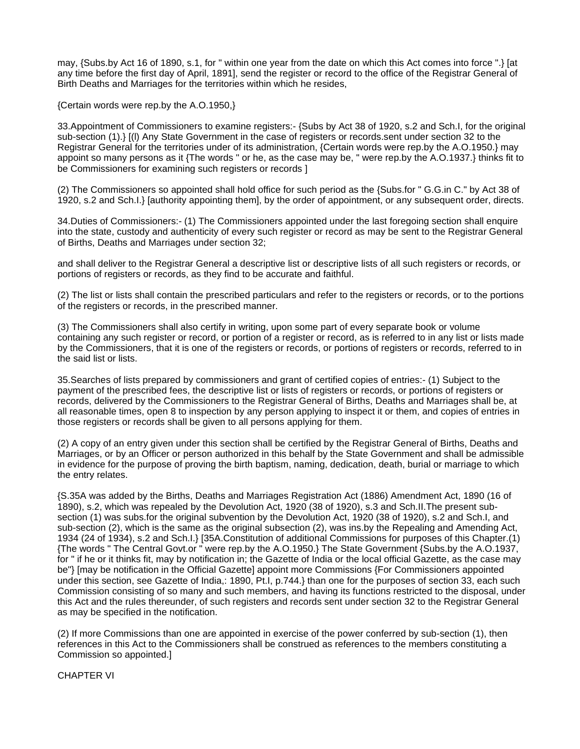may, {Subs.by Act 16 of 1890, s.1, for " within one year from the date on which this Act comes into force ".} [at any time before the first day of April, 1891], send the register or record to the office of the Registrar General of Birth Deaths and Marriages for the territories within which he resides,

{Certain words were rep.by the A.O.1950,}

33.Appointment of Commissioners to examine registers:- {Subs by Act 38 of 1920, s.2 and Sch.I, for the original sub-section (1).} [(l) Any State Government in the case of registers or records.sent under section 32 to the Registrar General for the territories under of its administration, {Certain words were rep.by the A.O.1950.} may appoint so many persons as it {The words " or he, as the case may be, " were rep.by the A.O.1937.} thinks fit to be Commissioners for examining such registers or records ]

(2) The Commissioners so appointed shall hold office for such period as the {Subs.for " G.G.in C." by Act 38 of 1920, s.2 and Sch.I.} [authority appointing them], by the order of appointment, or any subsequent order, directs.

34.Duties of Commissioners:- (1) The Commissioners appointed under the last foregoing section shall enquire into the state, custody and authenticity of every such register or record as may be sent to the Registrar General of Births, Deaths and Marriages under section 32;

and shall deliver to the Registrar General a descriptive list or descriptive lists of all such registers or records, or portions of registers or records, as they find to be accurate and faithful.

(2) The list or lists shall contain the prescribed particulars and refer to the registers or records, or to the portions of the registers or records, in the prescribed manner.

(3) The Commissioners shall also certify in writing, upon some part of every separate book or volume containing any such register or record, or portion of a register or record, as is referred to in any list or lists made by the Commissioners, that it is one of the registers or records, or portions of registers or records, referred to in the said list or lists.

35.Searches of lists prepared by commissioners and grant of certified copies of entries:- (1) Subject to the payment of the prescribed fees, the descriptive list or lists of registers or records, or portions of registers or records, delivered by the Commissioners to the Registrar General of Births, Deaths and Marriages shall be, at all reasonable times, open 8 to inspection by any person applying to inspect it or them, and copies of entries in those registers or records shall be given to all persons applying for them.

(2) A copy of an entry given under this section shall be certified by the Registrar General of Births, Deaths and Marriages, or by an Officer or person authorized in this behalf by the State Government and shall be admissible in evidence for the purpose of proving the birth baptism, naming, dedication, death, burial or marriage to which the entry relates.

{S.35A was added by the Births, Deaths and Marriages Registration Act (1886) Amendment Act, 1890 (16 of 1890), s.2, which was repealed by the Devolution Act, 1920 (38 of 1920), s.3 and Sch.II.The present subsection (1) was subs.for the original subvention by the Devolution Act, 1920 (38 of 1920), s.2 and Sch.I, and sub-section (2), which is the same as the original subsection (2), was ins.by the Repealing and Amending Act, 1934 (24 of 1934), s.2 and Sch.I.} [35A.Constitution of additional Commissions for purposes of this Chapter.(1) {The words " The Central Govt.or " were rep.by the A.O.1950.} The State Government {Subs.by the A.O.1937, for " if he or it thinks fit, may by notification in; the Gazette of India or the local official Gazette, as the case may be"} [may be notification in the Official Gazette] appoint more Commissions {For Commissioners appointed under this section, see Gazette of India,: 1890, Pt.I, p.744.} than one for the purposes of section 33, each such Commission consisting of so many and such members, and having its functions restricted to the disposal, under this Act and the rules thereunder, of such registers and records sent under section 32 to the Registrar General as may be specified in the notification.

(2) If more Commissions than one are appointed in exercise of the power conferred by sub-section (1), then references in this Act to the Commissioners shall be construed as references to the members constituting a Commission so appointed.]

CHAPTER VI